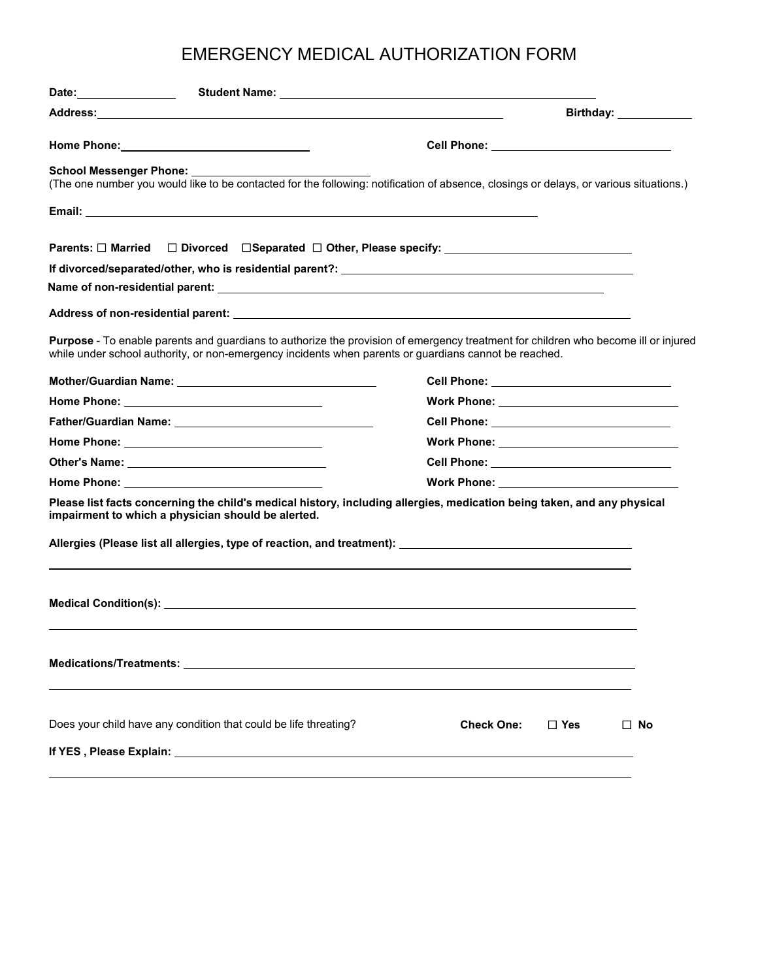| <b>School Messenger Phone:</b>                                                                                                                                                                                                | (The one number you would like to be contacted for the following: notification of absence, closings or delays, or various situations.) |
|-------------------------------------------------------------------------------------------------------------------------------------------------------------------------------------------------------------------------------|----------------------------------------------------------------------------------------------------------------------------------------|
|                                                                                                                                                                                                                               |                                                                                                                                        |
|                                                                                                                                                                                                                               | Parents: □ Married □ Divorced □ Separated □ Other, Please specify: ________________________________                                    |
|                                                                                                                                                                                                                               |                                                                                                                                        |
|                                                                                                                                                                                                                               |                                                                                                                                        |
|                                                                                                                                                                                                                               |                                                                                                                                        |
| while under school authority, or non-emergency incidents when parents or guardians cannot be reached.                                                                                                                         | Purpose - To enable parents and guardians to authorize the provision of emergency treatment for children who become ill or injured     |
|                                                                                                                                                                                                                               | Cell Phone: ________________________________                                                                                           |
|                                                                                                                                                                                                                               |                                                                                                                                        |
|                                                                                                                                                                                                                               |                                                                                                                                        |
|                                                                                                                                                                                                                               |                                                                                                                                        |
| Other's Name: the contract of the contract of the contract of the contract of the contract of the contract of the contract of the contract of the contract of the contract of the contract of the contract of the contract of | Cell Phone: _______________________________                                                                                            |
|                                                                                                                                                                                                                               |                                                                                                                                        |
|                                                                                                                                                                                                                               |                                                                                                                                        |
|                                                                                                                                                                                                                               | Please list facts concerning the child's medical history, including allergies, medication being taken, and any physical                |
| impairment to which a physician should be alerted.                                                                                                                                                                            |                                                                                                                                        |
|                                                                                                                                                                                                                               |                                                                                                                                        |
| Does your child have any condition that could be life threating?                                                                                                                                                              | <b>Check One:</b><br>$\Box$ Yes<br>$\Box$ No                                                                                           |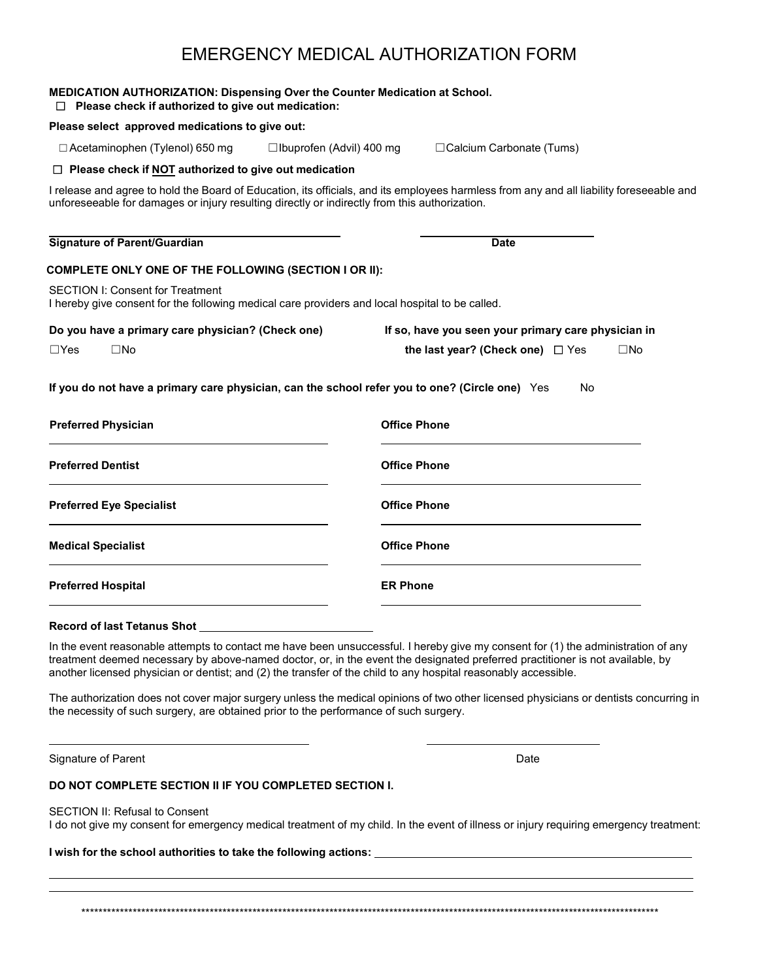| Please select approved medications to give out:                                                                                            |                                                                                                                                          |
|--------------------------------------------------------------------------------------------------------------------------------------------|------------------------------------------------------------------------------------------------------------------------------------------|
| $\Box$ Acetaminophen (Tylenol) 650 mg                                                                                                      | □ Calcium Carbonate (Tums)<br>$\Box$ Ibuprofen (Advil) 400 mg                                                                            |
| $\Box$ Please check if NOT authorized to give out medication                                                                               |                                                                                                                                          |
| unforeseeable for damages or injury resulting directly or indirectly from this authorization.                                              | I release and agree to hold the Board of Education, its officials, and its employees harmless from any and all liability foreseeable and |
| <b>Signature of Parent/Guardian</b>                                                                                                        | <b>Date</b>                                                                                                                              |
| COMPLETE ONLY ONE OF THE FOLLOWING (SECTION I OR II):                                                                                      |                                                                                                                                          |
| <b>SECTION I: Consent for Treatment</b><br>I hereby give consent for the following medical care providers and local hospital to be called. |                                                                                                                                          |
|                                                                                                                                            |                                                                                                                                          |
| Do you have a primary care physician? (Check one)                                                                                          | If so, have you seen your primary care physician in                                                                                      |
| $\Box$ Yes<br>$\square$ No                                                                                                                 | the last year? (Check one) $\Box$ Yes<br>$\square$ No                                                                                    |
| <b>Preferred Physician</b>                                                                                                                 | If you do not have a primary care physician, can the school refer you to one? (Circle one) Yes<br>No<br><b>Office Phone</b>              |
| <b>Preferred Dentist</b>                                                                                                                   | <b>Office Phone</b>                                                                                                                      |
| <b>Preferred Eye Specialist</b>                                                                                                            | <b>Office Phone</b>                                                                                                                      |
| <b>Medical Specialist</b>                                                                                                                  | <b>Office Phone</b>                                                                                                                      |

treatment deemed necessary by above-named doctor, or, in the event the designated preferred practitioner is not available, by another licensed physician or dentist; and (2) the transfer of the child to any hospital reasonably accessible.

The authorization does not cover major surgery unless the medical opinions of two other licensed physicians or dentists concurring in the necessity of such surgery, are obtained prior to the performance of such surgery.

Signature of Parent **Date** 

#### **DO NOT COMPLETE SECTION II IF YOU COMPLETED SECTION I.**

#### SECTION II: Refusal to Consent

I do not give my consent for emergency medical treatment of my child. In the event of illness or injury requiring emergency treatment:

#### **I wish for the school authorities to take the following actions:**

\*\*\*\*\*\*\*\*\*\*\*\*\*\*\*\*\*\*\*\*\*\*\*\*\*\*\*\*\*\*\*\*\*\*\*\*\*\*\*\*\*\*\*\*\*\*\*\*\*\*\*\*\*\*\*\*\*\*\*\*\*\*\*\*\*\*\*\*\*\*\*\*\*\*\*\*\*\*\*\*\*\*\*\*\*\*\*\*\*\*\*\*\*\*\*\*\*\*\*\*\*\*\*\*\*\*\*\*\*\*\*\*\*\*\*\*\*\*\*\*\*\*\*\*\*\*\*\*\*\*\*\*\*\*\*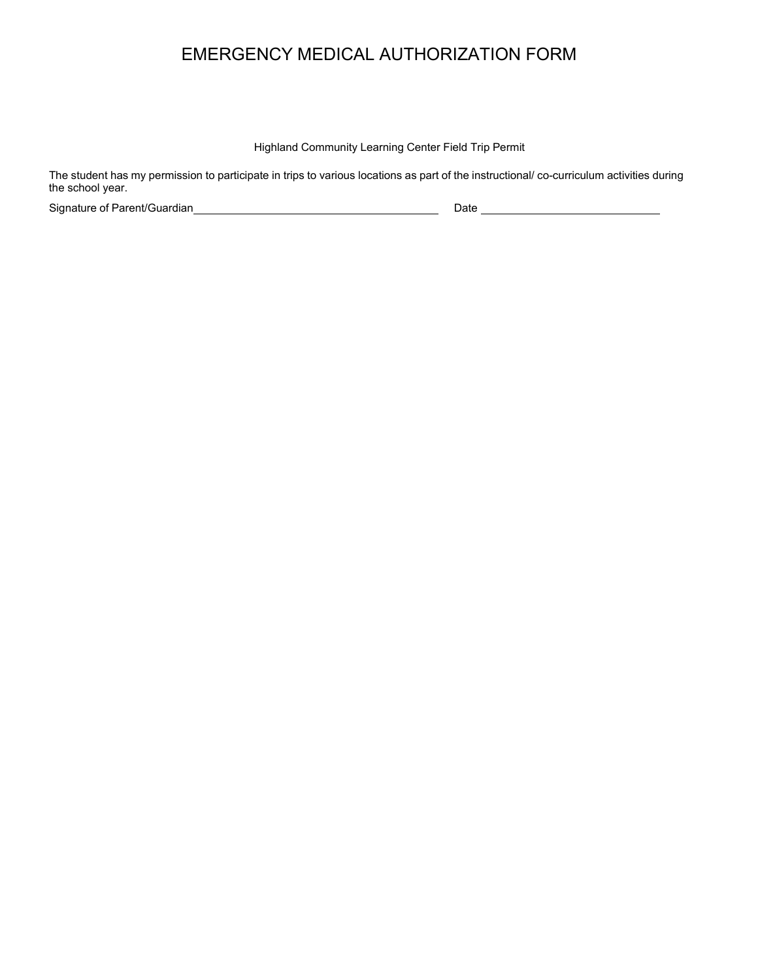Highland Community Learning Center Field Trip Permit

The student has my permission to participate in trips to various locations as part of the instructional/ co-curriculum activities during the school year.

Signature of Parent/Guardian 2000 Control of Parent/Guardian 2000 Control of Parent Cuardian 2000 Date 2010 Co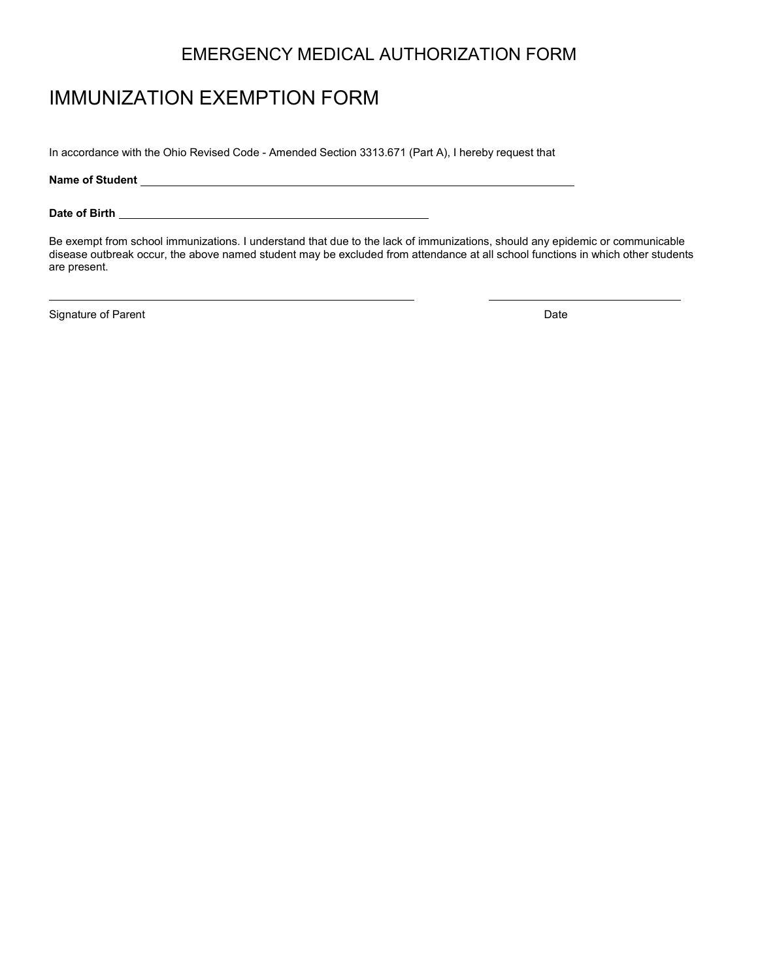# IMMUNIZATION EXEMPTION FORM

In accordance with the Ohio Revised Code - Amended Section 3313.671 (Part A), I hereby request that

**Name of Student**

**Date of Birth** 

Be exempt from school immunizations. I understand that due to the lack of immunizations, should any epidemic or communicable disease outbreak occur, the above named student may be excluded from attendance at all school functions in which other students are present.

Signature of Parent **Date**